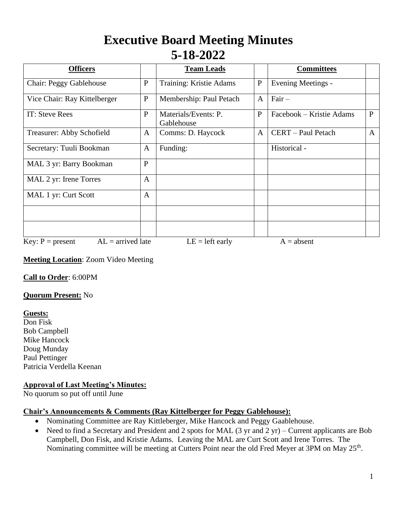# **Executive Board Meeting Minutes 5-18-2022**

| <b>Officers</b>                           |              | <b>Team Leads</b>                  |              | <b>Committees</b>        |              |
|-------------------------------------------|--------------|------------------------------------|--------------|--------------------------|--------------|
| Chair: Peggy Gablehouse                   | $\mathbf{P}$ | Training: Kristie Adams            | ${\bf P}$    | Evening Meetings -       |              |
| Vice Chair: Ray Kittelberger              | $\mathbf{P}$ | Membership: Paul Petach            | $\mathbf{A}$ | $Fair -$                 |              |
| IT: Steve Rees                            | $\mathbf{P}$ | Materials/Events: P.<br>Gablehouse | $\mathbf{P}$ | Facebook – Kristie Adams | $\mathbf{P}$ |
| Treasurer: Abby Schofield                 | A            | Comms: D. Haycock                  | A            | CERT - Paul Petach       | $\mathbf{A}$ |
| Secretary: Tuuli Bookman                  | A            | Funding:                           |              | Historical -             |              |
| MAL 3 yr: Barry Bookman                   | $\mathbf{P}$ |                                    |              |                          |              |
| MAL 2 yr: Irene Torres                    | $\mathbf{A}$ |                                    |              |                          |              |
| MAL 1 yr: Curt Scott                      | $\mathbf{A}$ |                                    |              |                          |              |
|                                           |              |                                    |              |                          |              |
|                                           |              |                                    |              |                          |              |
| $AL =$ arrived late<br>Key: $P = present$ |              | $LE = left$ early                  |              | $A = absent$             |              |

## **Meeting Location**: Zoom Video Meeting

**Call to Order**: 6:00PM

## **Quorum Present:** No

**Guests:**

Don Fisk Bob Campbell Mike Hancock Doug Munday Paul Pettinger Patricia Verdella Keenan

## **Approval of Last Meeting's Minutes:**

No quorum so put off until June

## **Chair's Announcements & Comments (Ray Kittelberger for Peggy Gablehouse):**

- Nominating Committee are Ray Kittleberger, Mike Hancock and Peggy Gaablehouse.
- Need to find a Secretary and President and 2 spots for MAL (3 yr and 2 yr) Current applicants are Bob Campbell, Don Fisk, and Kristie Adams. Leaving the MAL are Curt Scott and Irene Torres. The Nominating committee will be meeting at Cutters Point near the old Fred Meyer at 3PM on May 25<sup>th</sup>.